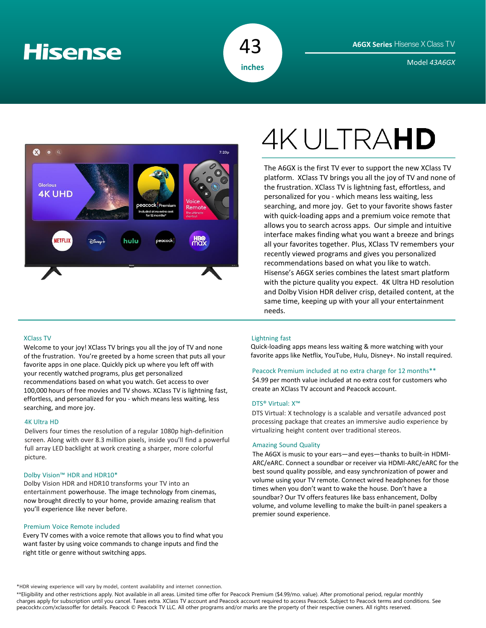# **Hisense**



Model *43A6GX* **inches**



# XClass TV

Welcome to your joy! XClass TV brings you all the joy of TV and none of the frustration. You're greeted by a home screen that puts all your favorite apps in one place. Quickly pick up where you left off with your recently watched programs, plus get personalized recommendations based on what you watch. Get access to over 100,000 hours of free movies and TV shows. XClass TV is lightning fast, effortless, and personalized for you - which means less waiting, less searching, and more joy.

### 4K Ultra HD

Delivers four times the resolution of a regular 1080p high-definition screen. Along with over 8.3 million pixels, inside you'll find a powerful full array LED backlight at work creating a sharper, more colorful picture.

# Dolby Vision™ HDR and HDR10\*

Dolby Vision HDR and HDR10 transforms your TV into an entertainment powerhouse. The image technology from cinemas, now brought directly to your home, provide amazing realism that you'll experience like never before.

# Premium Voice Remote included

Every TV comes with a voice remote that allows you to find what you want faster by using voice commands to change inputs and find the right title or genre without switching apps.

# **4KULTRAHD**

The A6GX is the first TV ever to support the new XClass TV platform. XClass TV brings you all the joy of TV and none of the frustration. XClass TV is lightning fast, effortless, and personalized for you - which means less waiting, less searching, and more joy. Get to your favorite shows faster with quick-loading apps and a premium voice remote that allows you to search across apps. Our simple and intuitive interface makes finding what you want a breeze and brings all your favorites together. Plus, XClass TV remembers your recently viewed programs and gives you personalized recommendations based on what you like to watch. Hisense's A6GX series combines the latest smart platform with the picture quality you expect. 4K Ultra HD resolution and Dolby Vision HDR deliver crisp, detailed content, at the same time, keeping up with your all your entertainment needs.

# Lightning fast

Quick-loading apps means less waiting & more watching with your favorite apps like Netflix, YouTube, Hulu, Disney+. No install required.

# Peacock Premium included at no extra charge for 12 months\*\*

\$4.99 per month value included at no extra cost for customers who create an XClass TV account and Peacock account.

## DTS® Virtual: X™

DTS Virtual: X technology is a scalable and versatile advanced post processing package that creates an immersive audio experience by virtualizing height content over traditional stereos.

## Amazing Sound Quality

The A6GX is music to your ears—and eyes—thanks to built-in HDMI-ARC/eARC. Connect a soundbar or receiver via HDMI-ARC/eARC for the best sound quality possible, and easy synchronization of power and volume using your TV remote. Connect wired headphones for those times when you don't want to wake the house. Don't have a soundbar? Our TV offers features like bass enhancement, Dolby volume, and volume levelling to make the built-in panel speakers a premier sound experience.

\*HDR viewing experience will vary by model, content availability and internet connection.

\*\*Eligibility and other restrictions apply. Not available in all areas. Limited time offer for Peacock Premium (\$4.99/mo. value). After promotional period, regular monthly charges apply for subscription until you cancel. Taxes extra. XClass TV account and Peacock account required to access Peacock. Subject to Peacock terms and conditions. See peacocktv.com/xclassoffer for details. Peacock © Peacock TV LLC. All other programs and/or marks are the property of their respective owners. All rights reserved.